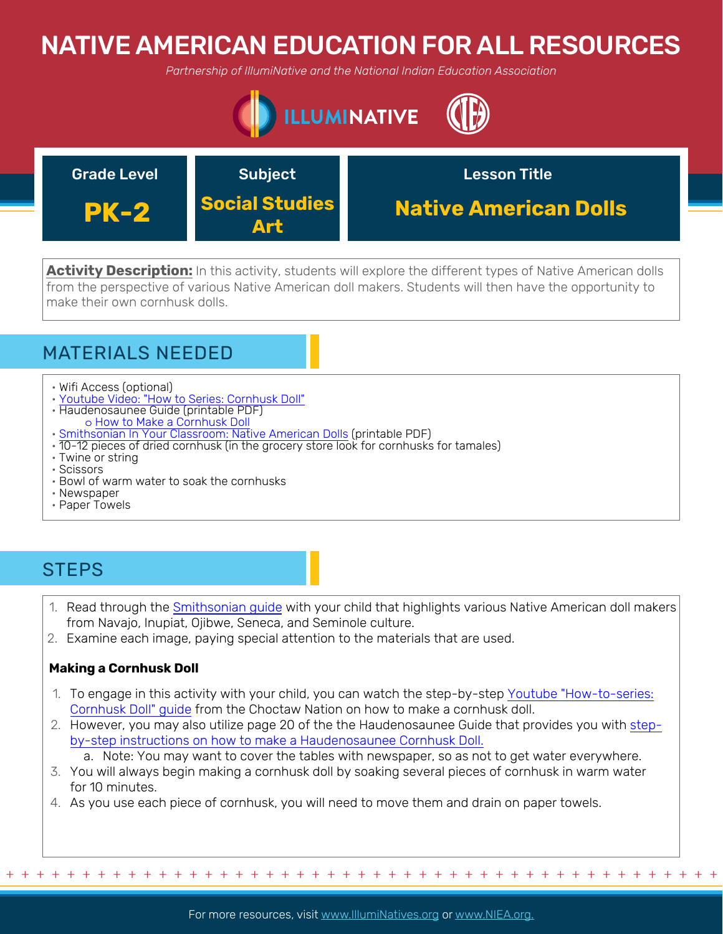# NATIVE AMERICAN EDUCATION FOR ALL RESOURCES

*Partnership of IllumiNative and the National Indian Education Association*





**Activity Description:** In this activity, students will explore the different types of Native American dolls from the perspective of various Native American doll makers. Students will then have the opportunity to make their own cornhusk dolls.

## MATERIALS NEEDED

- Wifi Access (optional)
- [Youtube Video: "How to Series: Cornhusk Doll"](https://www.youtube.com/watch?v=lXl4v-xBOPM)
- Haudenosaunee Guide (printable PDF) o [How to Make a Cornhusk Doll](https://americanindian.si.edu/sites/1/files/pdf/education/HaudenosauneeGuide.pdf)
- [Smithsonian In Your Classroom: Native American Dolls](https://americanindian.si.edu/sites/1/files/pdf/education/SiYC_Dolls.pdf) (printable PDF)
- 10-12 pieces of dried cornhusk (in the grocery store look for cornhusks for tamales)
- Twine or string
- Scissors
- Bowl of warm water to soak the cornhusks
- Newspaper
- Paper Towels

## **STEPS**

- 1. Read through the Smithsonian guide with your child that highlights various Native American doll makers from Navajo, Inupi[at, Ojibwe, Seneca, and Seminole culture.](https://americanindian.si.edu/sites/1/files/pdf/education/SiYC_Dolls.pdf)
- 2. Examine each image, paying special attention to the materials that are used.

### **Making a Cornhusk Doll**

- 1. [To engage in this activity with your child, you can w](https://www.youtube.com/watch?v=lXl4v-xBOPM)atch the step-by-step Youtube "How-to-series: Cornhusk Doll" guide from the Choctaw Nation [on how to make a co](https://www.youtube.com/watch?v=EIGDAaYwsYY)rnhusk doll.
- 2. [However, you may also utilize page 20 of the the Haudenosaunee Guide that provides you with step](https://americanindian.si.edu/sites/1/files/pdf/education/HaudenosauneeGuide.pdf)by-step instructions on how to make a Haudenosaunee Cornhusk Doll.
- a. Note: You may want to cover the tables with newspaper, so as not to get water everywhere.
- 3. You will always begin making a cornhusk doll by soaking several pieces of cornhusk in warm water for 10 minutes.
- 4. As you use each piece of cornhusk, you will need to move them and drain on paper towels.

+ + + + + + + + + + + + + + + + + + + + + + + + + + + + + + + + + + + + + + + + + + + + + + + +